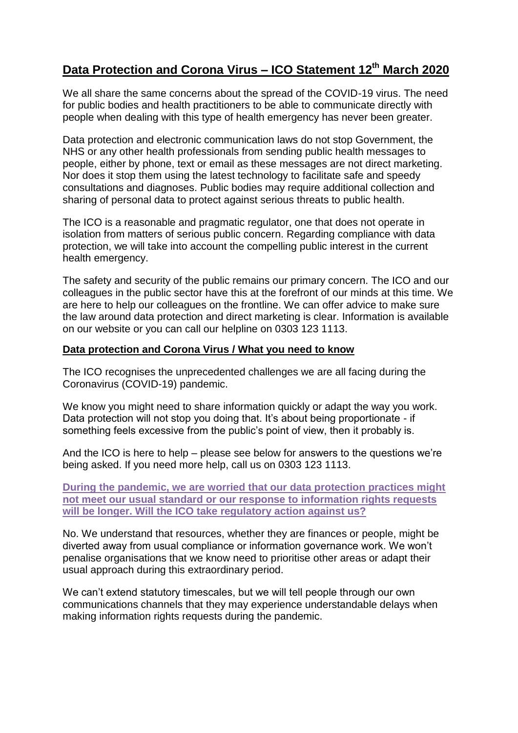## **Data Protection and Corona Virus – ICO Statement 12th March 2020**

We all share the same concerns about the spread of the COVID-19 virus. The need for public bodies and health practitioners to be able to communicate directly with people when dealing with this type of health emergency has never been greater.

Data protection and electronic communication laws do not stop Government, the NHS or any other health professionals from sending public health messages to people, either by phone, text or email as these messages are not direct marketing. Nor does it stop them using the latest technology to facilitate safe and speedy consultations and diagnoses. Public bodies may require additional collection and sharing of personal data to protect against serious threats to public health.

The ICO is a reasonable and pragmatic regulator, one that does not operate in isolation from matters of serious public concern. Regarding compliance with data protection, we will take into account the compelling public interest in the current health emergency.

The safety and security of the public remains our primary concern. The ICO and our colleagues in the public sector have this at the forefront of our minds at this time. We are here to help our colleagues on the frontline. We can offer advice to make sure the law around data protection and direct marketing is clear. Information is available on our website or you can call our helpline on 0303 123 1113.

## **Data protection and Corona Virus / What you need to know**

The ICO recognises the unprecedented challenges we are all facing during the Coronavirus (COVID-19) pandemic.

We know you might need to share information quickly or adapt the way you work. Data protection will not stop you doing that. It's about being proportionate - if something feels excessive from the public's point of view, then it probably is.

And the ICO is here to help – please see below for answers to the questions we're being asked. If you need more help, call us on 0303 123 1113.

**During the pandemic, we are worried that our data protection practices might not meet our usual standard or our response to information rights requests will be longer. Will the ICO take regulatory action against us?**

No. We understand that resources, whether they are finances or people, might be diverted away from usual compliance or information governance work. We won't penalise organisations that we know need to prioritise other areas or adapt their usual approach during this extraordinary period.

We can't extend statutory timescales, but we will tell people through our own communications channels that they may experience understandable delays when making information rights requests during the pandemic.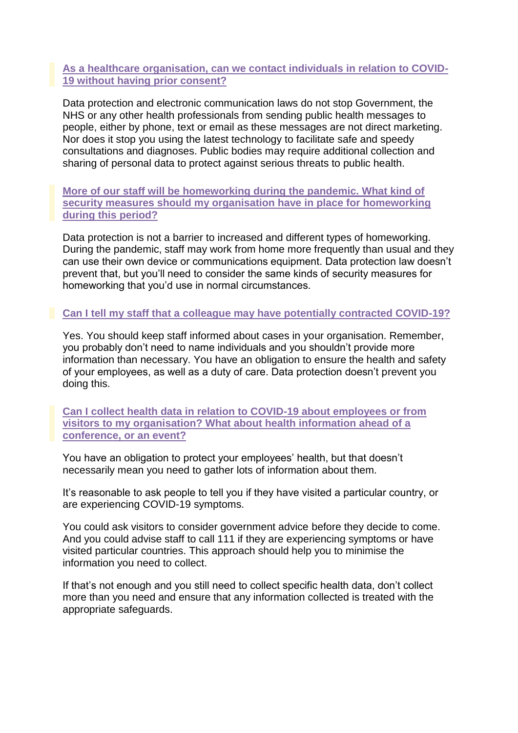## **As a healthcare organisation, can we contact individuals in relation to COVID-19 without having prior consent?**

Data protection and electronic communication laws do not stop Government, the NHS or any other health professionals from sending public health messages to people, either by phone, text or email as these messages are not direct marketing. Nor does it stop you using the latest technology to facilitate safe and speedy consultations and diagnoses. Public bodies may require additional collection and sharing of personal data to protect against serious threats to public health.

**More of our staff will be homeworking during the pandemic. What kind of security measures should my organisation have in place for homeworking during this period?**

Data protection is not a barrier to increased and different types of homeworking. During the pandemic, staff may work from home more frequently than usual and they can use their own device or communications equipment. Data protection law doesn't prevent that, but you'll need to consider the same kinds of security measures for homeworking that you'd use in normal circumstances.

## **Can I tell my staff that a colleague may have potentially contracted COVID-19?**

Yes. You should keep staff informed about cases in your organisation. Remember, you probably don't need to name individuals and you shouldn't provide more information than necessary. You have an obligation to ensure the health and safety of your employees, as well as a duty of care. Data protection doesn't prevent you doing this.

**Can I collect health data in relation to COVID-19 about employees or from visitors to my organisation? What about health information ahead of a conference, or an event?**

You have an obligation to protect your employees' health, but that doesn't necessarily mean you need to gather lots of information about them.

It's reasonable to ask people to tell you if they have visited a particular country, or are experiencing COVID-19 symptoms.

You could ask visitors to consider government advice before they decide to come. And you could advise staff to call 111 if they are experiencing symptoms or have visited particular countries. This approach should help you to minimise the information you need to collect.

If that's not enough and you still need to collect specific health data, don't collect more than you need and ensure that any information collected is treated with the appropriate safeguards.